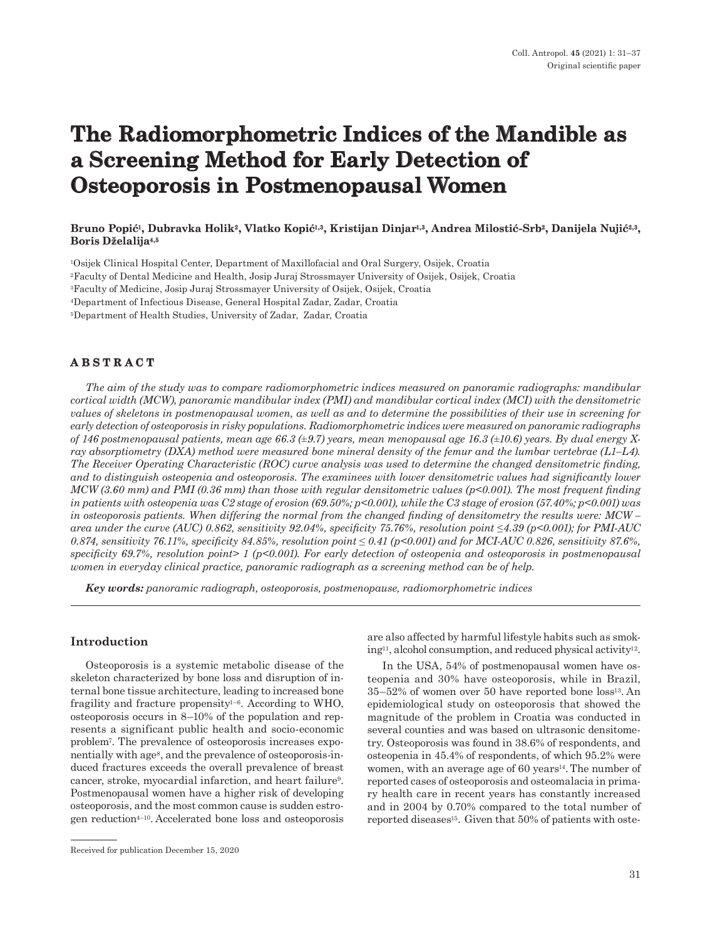# **The Radiomorphometric Indices of the Mandible as a Screening Method for Early Detection of Osteoporosis in Postmenopausal Women**

# **Bruno Popić1, Dubravka Holik2, Vlatko Kopić1,3, Kristijan Dinjar1,3, Andrea Milostić-Srb2, Danijela Nujić2,3, Boris Dželalija4,5**

1Osijek Clinical Hospital Center, Department of Maxillofacial and Oral Surgery, Osijek, Croatia

2Faculty of Dental Medicine and Health, Josip Juraj Strossmayer University of Osijek, Osijek, Croatia

3Faculty of Medicine, Josip Juraj Strossmayer University of Osijek, Osijek, Croatia

4Department of Infectious Disease, General Hospital Zadar, Zadar, Croatia

5Department of Health Studies, University of Zadar, Zadar, Croatia

# **ABSTRACT**

*The aim of the study was to compare radiomorphometric indices measured on panoramic radiographs: mandibular cortical width (MCW), panoramic mandibular index (PMI) and mandibular cortical index (MCI) with the densitometric values of skeletons in postmenopausal women, as well as and to determine the possibilities of their use in screening for early detection of osteoporosis in risky populations. Radiomorphometric indices were measured on panoramic radiographs of 146 postmenopausal patients, mean age 66.3 (±9.7) years, mean menopausal age 16.3 (±10.6) years. By dual energy Xray absorptiometry (DXA) method were measured bone mineral density of the femur and the lumbar vertebrae (L1–L4). The Receiver Operating Characteristic (ROC) curve analysis was used to determine the changed densitometric finding,*  and to distinguish osteopenia and osteoporosis. The examinees with lower densitometric values had significantly lower *MCW (3.60 mm) and PMI (0.36 mm) than those with regular densitometric values (p<0.001). The most frequent finding in patients with osteopenia was C2 stage of erosion (69.50%; p<0.001), while the C3 stage of erosion (57.40%; p<0.001) was in osteoporosis patients. When differing the normal from the changed finding of densitometry the results were: MCW – area under the curve (AUC) 0.862, sensitivity 92.04%, specificity 75.76%, resolution point ≤4.39 (p<0.001); for PMI-AUC 0.874, sensitivity 76.11%, specificity 84.85%, resolution point ≤ 0.41 (p<0.001) and for MCI-AUC 0.826, sensitivity 87.6%, specificity 69.7%, resolution point> 1 (p<0.001). For early detection of osteopenia and osteoporosis in postmenopausal women in everyday clinical practice, panoramic radiograph as a screening method can be of help.* 

*Key words: panoramic radiograph, osteoporosis, postmenopause, radiomorphometric indices* 

#### **Introduction**

Osteoporosis is a systemic metabolic disease of the skeleton characterized by bone loss and disruption of internal bone tissue architecture, leading to increased bone fragility and fracture propensity<sup> $1-6$ </sup>. According to WHO, osteoporosis occurs in 8–10% of the population and represents a significant public health and socio-economic problem7. The prevalence of osteoporosis increases exponentially with age<sup>8</sup>, and the prevalence of osteoporosis-induced fractures exceeds the overall prevalence of breast cancer, stroke, myocardial infarction, and heart failure9. Postmenopausal women have a higher risk of developing osteoporosis, and the most common cause is sudden estrogen reduction4–10. Accelerated bone loss and osteoporosis are also affected by harmful lifestyle habits such as smoking<sup>11</sup>, alcohol consumption, and reduced physical activity<sup>12</sup>.

In the USA, 54% of postmenopausal women have osteopenia and 30% have osteoporosis, while in Brazil, 35–52% of women over 50 have reported bone loss13. An epidemiological study on osteoporosis that showed the magnitude of the problem in Croatia was conducted in several counties and was based on ultrasonic densitometry. Osteoporosis was found in 38.6% of respondents, and osteopenia in 45.4% of respondents, of which 95.2% were women, with an average age of 60 years<sup>14</sup>. The number of reported cases of osteoporosis and osteomalacia in primary health care in recent years has constantly increased and in 2004 by 0.70% compared to the total number of reported diseases<sup>15</sup>. Given that 50% of patients with oste-

Received for publication December 15, 2020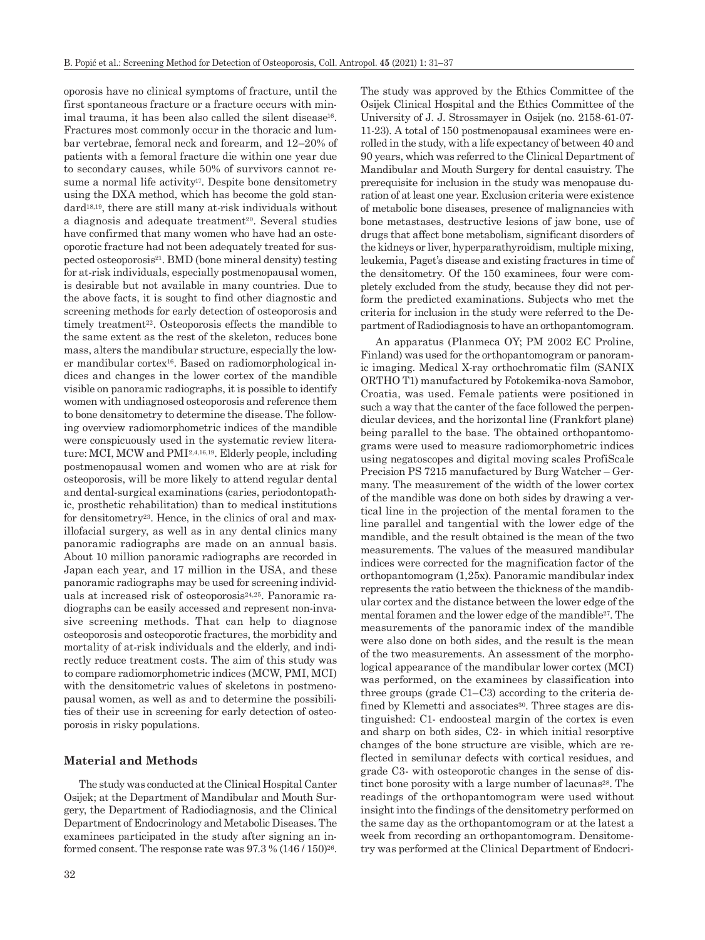oporosis have no clinical symptoms of fracture, until the first spontaneous fracture or a fracture occurs with minimal trauma, it has been also called the silent disease<sup>16</sup>. Fractures most commonly occur in the thoracic and lumbar vertebrae, femoral neck and forearm, and 12–20% of patients with a femoral fracture die within one year due to secondary causes, while 50% of survivors cannot resume a normal life activity<sup>17</sup>. Despite bone densitometry using the DXA method, which has become the gold standard18,19, there are still many at-risk individuals without a diagnosis and adequate treatment<sup>20</sup>. Several studies have confirmed that many women who have had an osteoporotic fracture had not been adequately treated for suspected osteoporosis21. BMD (bone mineral density) testing for at-risk individuals, especially postmenopausal women, is desirable but not available in many countries. Due to the above facts, it is sought to find other diagnostic and screening methods for early detection of osteoporosis and timely treatment<sup>22</sup>. Osteoporosis effects the mandible to the same extent as the rest of the skeleton, reduces bone mass, alters the mandibular structure, especially the lower mandibular cortex16. Based on radiomorphological indices and changes in the lower cortex of the mandible visible on panoramic radiographs, it is possible to identify women with undiagnosed osteoporosis and reference them to bone densitometry to determine the disease. The following overview radiomorphometric indices of the mandible were conspicuously used in the systematic review literature: MCI, MCW and PMI2,4,16,19. Elderly people, including postmenopausal women and women who are at risk for osteoporosis, will be more likely to attend regular dental and dental-surgical examinations (caries, periodontopathic, prosthetic rehabilitation) than to medical institutions for densitometry23. Hence, in the clinics of oral and maxillofacial surgery, as well as in any dental clinics many panoramic radiographs are made on an annual basis. About 10 million panoramic radiographs are recorded in Japan each year, and 17 million in the USA, and these panoramic radiographs may be used for screening individuals at increased risk of osteoporosis<sup>24,25</sup>. Panoramic radiographs can be easily accessed and represent non-invasive screening methods. That can help to diagnose osteoporosis and osteoporotic fractures, the morbidity and mortality of at-risk individuals and the elderly, and indirectly reduce treatment costs. The aim of this study was to compare radiomorphometric indices (MCW, PMI, MCI) with the densitometric values of skeletons in postmenopausal women, as well as and to determine the possibilities of their use in screening for early detection of osteoporosis in risky populations.

#### **Material and Methods**

The study was conducted at the Clinical Hospital Canter Osijek; at the Department of Mandibular and Mouth Surgery, the Department of Radiodiagnosis, and the Clinical Department of Endocrinology and Metabolic Diseases. The examinees participated in the study after signing an informed consent. The response rate was  $97.3\%$   $(146/150)^{26}$ . The study was approved by the Ethics Committee of the Osijek Clinical Hospital and the Ethics Committee of the University of J. J. Strossmayer in Osijek (no. 2158-61-07- 11-23). A total of 150 postmenopausal examinees were enrolled in the study, with a life expectancy of between 40 and 90 years, which was referred to the Clinical Department of Mandibular and Mouth Surgery for dental casuistry. The prerequisite for inclusion in the study was menopause duration of at least one year. Exclusion criteria were existence of metabolic bone diseases, presence of malignancies with bone metastases, destructive lesions of jaw bone, use of drugs that affect bone metabolism, significant disorders of the kidneys or liver, hyperparathyroidism, multiple mixing, leukemia, Paget's disease and existing fractures in time of the densitometry. Of the 150 examinees, four were completely excluded from the study, because they did not perform the predicted examinations. Subjects who met the criteria for inclusion in the study were referred to the Department of Radiodiagnosis to have an orthopantomogram.

An apparatus (Planmeca OY; PM 2002 EC Proline, Finland) was used for the orthopantomogram or panoramic imaging. Medical X-ray orthochromatic film (SANIX ORTHO T1) manufactured by Fotokemika-nova Samobor, Croatia, was used. Female patients were positioned in such a way that the canter of the face followed the perpendicular devices, and the horizontal line (Frankfort plane) being parallel to the base. The obtained orthopantomograms were used to measure radiomorphometric indices using negatoscopes and digital moving scales ProfiScale Precision PS 7215 manufactured by Burg Watcher – Germany. The measurement of the width of the lower cortex of the mandible was done on both sides by drawing a vertical line in the projection of the mental foramen to the line parallel and tangential with the lower edge of the mandible, and the result obtained is the mean of the two measurements. The values of the measured mandibular indices were corrected for the magnification factor of the orthopantomogram (1,25x). Panoramic mandibular index represents the ratio between the thickness of the mandibular cortex and the distance between the lower edge of the mental foramen and the lower edge of the mandible27. The measurements of the panoramic index of the mandible were also done on both sides, and the result is the mean of the two measurements. An assessment of the morphological appearance of the mandibular lower cortex (MCI) was performed, on the examinees by classification into three groups (grade C1–C3) according to the criteria defined by Klemetti and associates<sup>30</sup>. Three stages are distinguished: C1- endoosteal margin of the cortex is even and sharp on both sides, C2- in which initial resorptive changes of the bone structure are visible, which are reflected in semilunar defects with cortical residues, and grade C3- with osteoporotic changes in the sense of distinct bone porosity with a large number of lacunas<sup>28</sup>. The readings of the orthopantomogram were used without insight into the findings of the densitometry performed on the same day as the orthopantomogram or at the latest a week from recording an orthopantomogram. Densitometry was performed at the Clinical Department of Endocri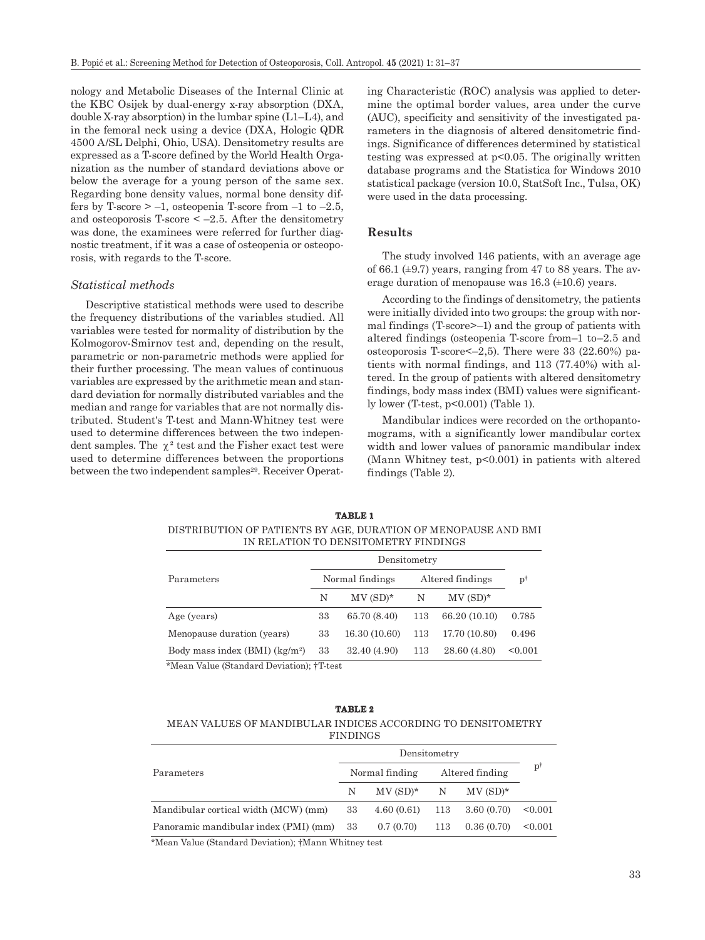nology and Metabolic Diseases of the Internal Clinic at the KBC Osijek by dual-energy x-ray absorption (DXA, double X-ray absorption) in the lumbar spine (L1–L4), and in the femoral neck using a device (DXA, Hologic QDR 4500 A/SL Delphi, Ohio, USA). Densitometry results are expressed as a T-score defined by the World Health Organization as the number of standard deviations above or below the average for a young person of the same sex. Regarding bone density values, normal bone density differs by T-score  $\ge -1$ , osteopenia T-score from  $-1$  to  $-2.5$ , and osteoporosis T-score  $\leq -2.5$ . After the densitometry was done, the examinees were referred for further diagnostic treatment, if it was a case of osteopenia or osteoporosis, with regards to the T-score.

### *Statistical methods*

Descriptive statistical methods were used to describe the frequency distributions of the variables studied. All variables were tested for normality of distribution by the Kolmogorov-Smirnov test and, depending on the result, parametric or non-parametric methods were applied for their further processing. The mean values of continuous variables are expressed by the arithmetic mean and standard deviation for normally distributed variables and the median and range for variables that are not normally distributed. Student's T-test and Mann-Whitney test were used to determine differences between the two independent samples. The  $\chi^2$  test and the Fisher exact test were used to determine differences between the proportions between the two independent samples<sup>29</sup>. Receiver Operating Characteristic (ROC) analysis was applied to determine the optimal border values, area under the curve (AUC), specificity and sensitivity of the investigated parameters in the diagnosis of altered densitometric findings. Significance of differences determined by statistical testing was expressed at p<0.05. The originally written database programs and the Statistica for Windows 2010 statistical package (version 10.0, StatSoft Inc., Tulsa, OK) were used in the data processing.

# **Results**

The study involved 146 patients, with an average age of 66.1  $(\pm 9.7)$  years, ranging from 47 to 88 years. The average duration of menopause was 16.3 (±10.6) years.

According to the findings of densitometry, the patients were initially divided into two groups: the group with normal findings (T-score>–1) and the group of patients with altered findings (osteopenia T-score from–1 to–2.5 and osteoporosis T-score<–2,5). There were 33 (22.60%) patients with normal findings, and 113 (77.40%) with altered. In the group of patients with altered densitometry findings, body mass index (BMI) values were significantly lower (T-test, p<0.001) (Table 1).

Mandibular indices were recorded on the orthopantomograms, with a significantly lower mandibular cortex width and lower values of panoramic mandibular index (Mann Whitney test, p<0.001) in patients with altered findings (Table 2).

| DISTRIBUTION OF PATIENTS BY AGE, DURATION OF MENOPAUSE AND BMI | IN RELATION TO DENSITOMETRY FINDINGS |                 |   |                  |  |  |
|----------------------------------------------------------------|--------------------------------------|-----------------|---|------------------|--|--|
| Parameters                                                     |                                      | Densitometry    |   |                  |  |  |
|                                                                |                                      | Normal findings |   | Altered findings |  |  |
|                                                                |                                      | $MV(SD)*$       | N | $MV(SD)*$        |  |  |

Age (years) 33 65.70 (8.40) 113 66.20 (10.10) 0.785

**TABLE 1**

Menopause duration (years) 33 16.30 (10.60) 113 17.70 (10.80) 0.496 Body mass index (BMI) (kg/m2) 33 32.40 (4.90) 113 28.60 (4.80) <0.001

\*Mean Value (Standard Deviation); †T-test

#### **TABLE 2**

#### MEAN VALUES OF MANDIBULAR INDICES ACCORDING TO DENSITOMETRY FINDINGS

|                                          | Densitometry |                         |  |                                 |         |  |
|------------------------------------------|--------------|-------------------------|--|---------------------------------|---------|--|
| Parameters                               |              | Normal finding          |  | Altered finding                 |         |  |
|                                          | N            | $MV(SD)*$ $N$ $MV(SD)*$ |  |                                 |         |  |
| Mandibular cortical width (MCW) (mm)     | 33           |                         |  | $4.60(0.61)$ $113$ $3.60(0.70)$ | < 0.001 |  |
| Panoramic mandibular index (PMI) (mm) 33 |              | $0.7(0.70)$ 113         |  | 0.36(0.70)                      | < 0.001 |  |

\*Mean Value (Standard Deviation); †Mann Whitney test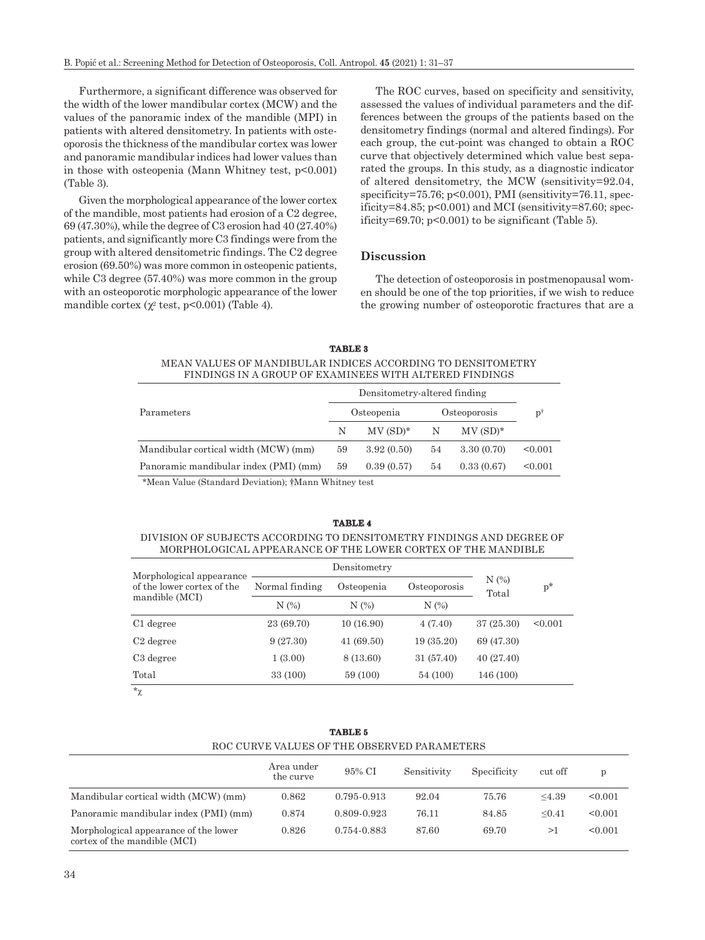Furthermore, a significant difference was observed for the width of the lower mandibular cortex (MCW) and the values of the panoramic index of the mandible (MPI) in patients with altered densitometry. In patients with osteoporosis the thickness of the mandibular cortex was lower and panoramic mandibular indices had lower values than in those with osteopenia (Mann Whitney test, p<0.001) (Table 3).

Given the morphological appearance of the lower cortex of the mandible, most patients had erosion of a C2 degree, 69 (47.30%), while the degree of C3 erosion had 40 (27.40%) patients, and significantly more C3 findings were from the group with altered densitometric findings. The C2 degree erosion (69.50%) was more common in osteopenic patients, while C3 degree (57.40%) was more common in the group with an osteoporotic morphologic appearance of the lower mandible cortex  $(\chi^2 \text{ test}, \text{p} < 0.001)$  (Table 4).

The ROC curves, based on specificity and sensitivity, assessed the values of individual parameters and the differences between the groups of the patients based on the densitometry findings (normal and altered findings). For each group, the cut-point was changed to obtain a ROC curve that objectively determined which value best separated the groups. In this study, as a diagnostic indicator of altered densitometry, the MCW (sensitivity=92.04, specificity=75.76; p<0.001), PMI (sensitivity=76.11, specificity=84.85; p<0.001) and MCI (sensitivity=87.60; specificity=69.70;  $p<0.001$ ) to be significant (Table 5).

#### **Discussion**

The detection of osteoporosis in postmenopausal women should be one of the top priorities, if we wish to reduce the growing number of osteoporotic fractures that are a

#### **TABLE 3** MEAN VALUES OF MANDIBULAR INDICES ACCORDING TO DENSITOMETRY FINDINGS IN A GROUP OF EXAMINEES WITH ALTERED FINDINGS

| Parameters                            |    | Osteopenia |    | Osteoporosis |         |
|---------------------------------------|----|------------|----|--------------|---------|
|                                       | N  | $MV(SD)*$  | N  | $MV(SD)*$    |         |
| Mandibular cortical width (MCW) (mm)  | 59 | 3.92(0.50) | 54 | 3.30(0.70)   | < 0.001 |
| Panoramic mandibular index (PMI) (mm) | 59 | 0.39(0.57) | 54 | 0.33(0.67)   | < 0.001 |
|                                       |    |            |    |              |         |

\*Mean Value (Standard Deviation); †Mann Whitney test

#### **TABLE 4**

DIVISION OF SUBJECTS ACCORDING TO DENSITOMETRY FINDINGS AND DEGREE OF MORPHOLOGICAL APPEARANCE OF THE LOWER CORTEX OF THE MANDIBLE

| Morphological appearance                     |                              |              |              |                     |         |  |
|----------------------------------------------|------------------------------|--------------|--------------|---------------------|---------|--|
| of the lower cortex of the<br>mandible (MCI) | Normal finding<br>Osteopenia |              | Osteoporosis | $N$ $(\%)$<br>Total | $p^*$   |  |
|                                              | N(%)                         | N(%)<br>N(%) |              |                     |         |  |
| C <sub>1</sub> degree                        | 23 (69.70)                   | 10(16.90)    | 4(7.40)      | 37(25.30)           | < 0.001 |  |
| C <sub>2</sub> degree                        | 9(27.30)                     | 41(69.50)    | 19(35.20)    | 69 (47.30)          |         |  |
| C <sub>3</sub> degree                        | 1(3.00)                      | 8 (13.60)    | 31(57.40)    | 40(27.40)           |         |  |
| Total                                        | 33 (100)                     | 59 (100)     | 54 (100)     | 146 (100)           |         |  |
| A                                            |                              |              |              |                     |         |  |

 $*_\gamma$ 

| ROC CURVE VALUES OF THE OBSERVED PARAMETERS                           |                         |             |             |             |         |         |  |
|-----------------------------------------------------------------------|-------------------------|-------------|-------------|-------------|---------|---------|--|
|                                                                       | Area under<br>the curve | 95% CI      | Sensitivity | Specificity | cut off | p       |  |
| Mandibular cortical width (MCW) (mm)                                  | 0.862                   | 0.795-0.913 | 92.04       | 75.76       | <4.39   | < 0.001 |  |
| Panoramic mandibular index (PMI) (mm)                                 | 0.874                   | 0.809-0.923 | 76.11       | 84.85       | < 0.41  | < 0.001 |  |
| Morphological appearance of the lower<br>cortex of the mandible (MCI) | 0.826                   | 0.754-0.883 | 87.60       | 69.70       | >1      | < 0.001 |  |

**TABLE 5**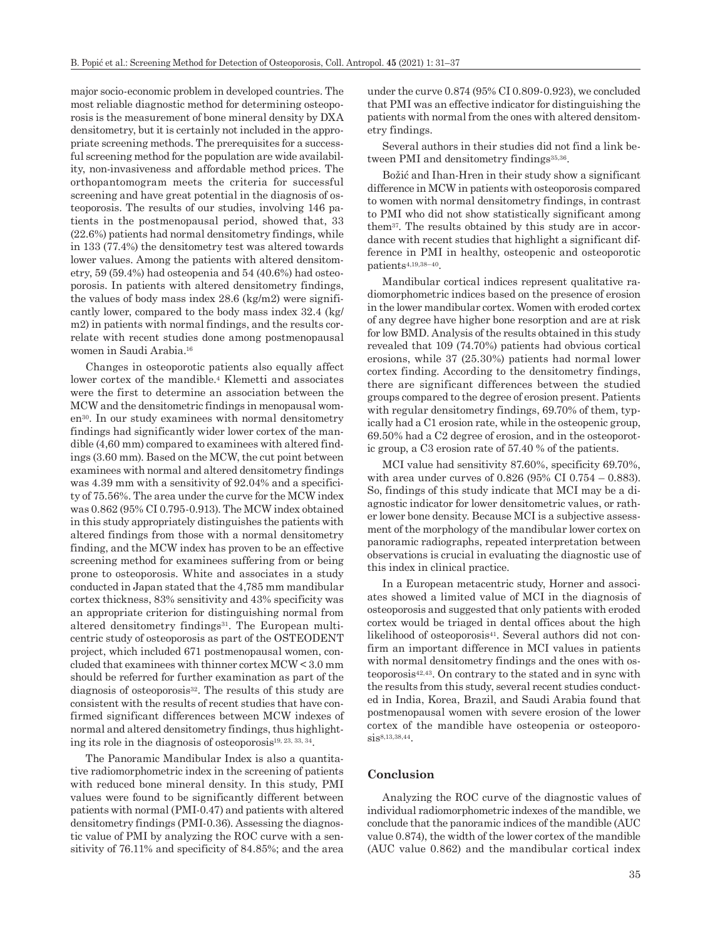major socio-economic problem in developed countries. The most reliable diagnostic method for determining osteoporosis is the measurement of bone mineral density by DXA densitometry, but it is certainly not included in the appropriate screening methods. The prerequisites for a successful screening method for the population are wide availability, non-invasiveness and affordable method prices. The orthopantomogram meets the criteria for successful screening and have great potential in the diagnosis of osteoporosis. The results of our studies, involving 146 patients in the postmenopausal period, showed that, 33 (22.6%) patients had normal densitometry findings, while in 133 (77.4%) the densitometry test was altered towards lower values. Among the patients with altered densitometry, 59 (59.4%) had osteopenia and 54 (40.6%) had osteoporosis. In patients with altered densitometry findings, the values of body mass index 28.6 (kg/m2) were significantly lower, compared to the body mass index 32.4 (kg/ m2) in patients with normal findings, and the results correlate with recent studies done among postmenopausal women in Saudi Arabia.16

Changes in osteoporotic patients also equally affect lower cortex of the mandible.4 Klemetti and associates were the first to determine an association between the MCW and the densitometric findings in menopausal women30. In our study examinees with normal densitometry findings had significantly wider lower cortex of the mandible (4,60 mm) compared to examinees with altered findings (3.60 mm). Based on the MCW, the cut point between examinees with normal and altered densitometry findings was 4.39 mm with a sensitivity of 92.04% and a specificity of 75.56%. The area under the curve for the MCW index was 0.862 (95% CI 0.795-0.913). The MCW index obtained in this study appropriately distinguishes the patients with altered findings from those with a normal densitometry finding, and the MCW index has proven to be an effective screening method for examinees suffering from or being prone to osteoporosis. White and associates in a study conducted in Japan stated that the 4,785 mm mandibular cortex thickness, 83% sensitivity and 43% specificity was an appropriate criterion for distinguishing normal from altered densitometry findings<sup>31</sup>. The European multicentric study of osteoporosis as part of the OSTEODENT project, which included 671 postmenopausal women, concluded that examinees with thinner cortex MCW < 3.0 mm should be referred for further examination as part of the diagnosis of osteoporosis<sup>32</sup>. The results of this study are consistent with the results of recent studies that have confirmed significant differences between MCW indexes of normal and altered densitometry findings, thus highlighting its role in the diagnosis of osteoporosis19, 23, 33, 34.

The Panoramic Mandibular Index is also a quantitative radiomorphometric index in the screening of patients with reduced bone mineral density. In this study, PMI values were found to be significantly different between patients with normal (PMI-0.47) and patients with altered densitometry findings (PMI-0.36). Assessing the diagnostic value of PMI by analyzing the ROC curve with a sensitivity of 76.11% and specificity of 84.85%; and the area under the curve 0.874 (95% CI 0.809-0.923), we concluded that PMI was an effective indicator for distinguishing the patients with normal from the ones with altered densitometry findings.

Several authors in their studies did not find a link between PMI and densitometry findings<sup>35,36</sup>.

Božić and Ihan-Hren in their study show a significant difference in MCW in patients with osteoporosis compared to women with normal densitometry findings, in contrast to PMI who did not show statistically significant among them37. The results obtained by this study are in accordance with recent studies that highlight a significant difference in PMI in healthy, osteopenic and osteoporotic patients4,19,38–40.

Mandibular cortical indices represent qualitative radiomorphometric indices based on the presence of erosion in the lower mandibular cortex. Women with eroded cortex of any degree have higher bone resorption and are at risk for low BMD. Analysis of the results obtained in this study revealed that 109 (74.70%) patients had obvious cortical erosions, while 37 (25.30%) patients had normal lower cortex finding. According to the densitometry findings, there are significant differences between the studied groups compared to the degree of erosion present. Patients with regular densitometry findings, 69.70% of them, typically had a C1 erosion rate, while in the osteopenic group, 69.50% had a C2 degree of erosion, and in the osteoporotic group, a C3 erosion rate of 57.40 % of the patients.

MCI value had sensitivity 87.60%, specificity 69.70%, with area under curves of 0.826 (95% CI 0.754 – 0.883). So, findings of this study indicate that MCI may be a diagnostic indicator for lower densitometric values, or rather lower bone density. Because MCI is a subjective assessment of the morphology of the mandibular lower cortex on panoramic radiographs, repeated interpretation between observations is crucial in evaluating the diagnostic use of this index in clinical practice.

In a European metacentric study, Horner and associates showed a limited value of MCI in the diagnosis of osteoporosis and suggested that only patients with eroded cortex would be triaged in dental offices about the high likelihood of osteoporosis<sup>41</sup>. Several authors did not confirm an important difference in MCI values in patients with normal densitometry findings and the ones with osteoporosis42,43. On contrary to the stated and in sync with the results from this study, several recent studies conducted in India, Korea, Brazil, and Saudi Arabia found that postmenopausal women with severe erosion of the lower cortex of the mandible have osteopenia or osteoporosis8,13,38,44.

#### **Conclusion**

Analyzing the ROC curve of the diagnostic values of individual radiomorphometric indexes of the mandible, we conclude that the panoramic indices of the mandible (AUC value 0.874), the width of the lower cortex of the mandible (AUC value 0.862) and the mandibular cortical index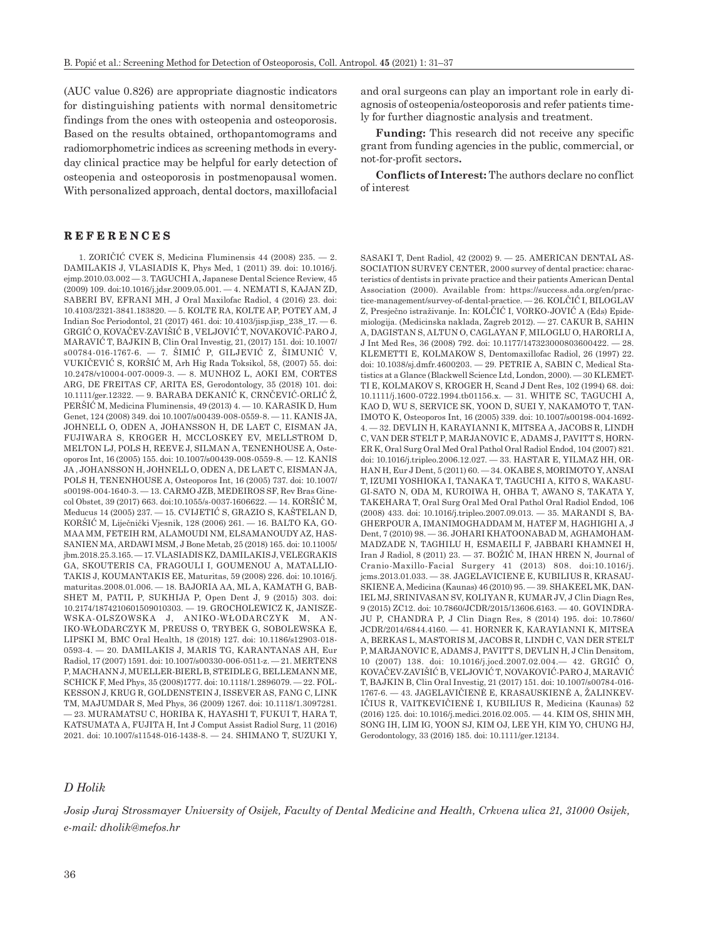(AUC value 0.826) are appropriate diagnostic indicators for distinguishing patients with normal densitometric findings from the ones with osteopenia and osteoporosis. Based on the results obtained, orthopantomograms and radiomorphometric indices as screening methods in everyday clinical practice may be helpful for early detection of osteopenia and osteoporosis in postmenopausal women. With personalized approach, dental doctors, maxillofacial

**REFERENCES**

1. ZORIČIĆ CVEK S, Medicina Fluminensis 44 (2008) 235. — 2. DAMILAKIS J, VLASIADIS K, Phys Med, 1 (2011) 39. doi: 10.1016/j. ejmp.2010.03.002 — 3. TAGUCHI A, Japanese Dental Science Review, 45 (2009) 109. doi:10.1016/j.jdsr.2009.05.001. — 4. NEMATI S, KAJAN ZD, SABERI BV, EFRANI MH, J Oral Maxilofac Radiol, 4 (2016) 23. doi: 10.4103/2321-3841.183820. — 5. [KOLTE RA](https://www.ncbi.nlm.nih.gov/pubmed/?PARAMS=xik_3dKYu4pcDDSCQzPxtuRASWMKFDyXAk39MMVa6mJfam7k6HYSa2ioYKzLP23cPKoWqWny2sQtXG9FxBUskpHacFJ2X3uEHWcBx3jeyCtw5nE1yV), [KOLTE AP,](https://www.ncbi.nlm.nih.gov/pubmed/?PARAMS=xik_3dKYu4pcDDSCQzPxtuRASWJ1K67aNCyediN5d5YWfXYstGFcm3RpsaxKCxkrHTH4nujJSUykLWMH9nU44V15ZMaagPkeBj5sCGeS1yTNaRqman) [POTEY AM](https://www.ncbi.nlm.nih.gov/pubmed/?PARAMS=xik_3guoTPPGVuoU8ajnhGvv1snErY5fGmw1c5ALumdiwEMbrnChEtQyW9wscbuw7G25CyeUPpMf5rtJ3MAmZAZ8eau3DKjsUH1W7ucgpTrpjeYqmF), [J](https://www.ncbi.nlm.nih.gov/pubmed/29551864)  [Indian Soc Periodontol](https://www.ncbi.nlm.nih.gov/pubmed/29551864), 21 (2017) 461. doi: 10.4103/jisp.jisp\_238\_17. — 6. [GRGIĆ O](https://www.ncbi.nlm.nih.gov/pubmed/?PARAMS=xik_AhEFvp8GaoacJdTZs21n2JiZZBeLpgXdUpFmmESvxsy7d8E7V5UHjyi4ZQxgiGi8vgQX9zb4Ju3CfvCrMvqPwCCHgmgXBTp3TzgZDFU6aEqBk), [KOVAČEV-ZAVIŠIĆ B](https://www.ncbi.nlm.nih.gov/pubmed/?PARAMS=xik_7aWzi88Bi3Dsx1dkbHhpzDruG9NaWqgxsh2N52agvaqtzxuMJXZF9pddFBQV6FRCFU3F8bnaW5QHHY3ByHQUA7t8BT5kCjLbD6aSUWavEsi2KZsEfXwJHJWo3XFkMJ4QuhY) , [VELJOVIĆ T](https://www.ncbi.nlm.nih.gov/pubmed/?PARAMS=xik_3VGMaKFVUeGhTTmMj4kgTyksjWHJeFZzeV5LwfbsjPeq6xpkbnXUowqqAp8Qp2Bdq2Uj6wPjjAW2NcEkFCRqh1tMdXFLZR6qdn2fD99fPEzJjF), [NOVAKOVIĆ-PARO J](https://www.ncbi.nlm.nih.gov/pubmed/?PARAMS=xik_2QBp6JCoY6nqe53GmZhPHbcZTMegSukXa4gok534EoiCC7yXBafonssKGHP92yQJ33eSSANCJSr2vxBD37TqMPvHaVYjJFueE1qh7jPHwxN6UUWFPFZYq5h5RADbyRmJ6h8R), [MARAVIĆ T](https://www.ncbi.nlm.nih.gov/pubmed/?PARAMS=xik_6b8FWNaDVHrx78SCbyythmVVrqeJcQGuHV47BbkrG13h2LiUC1wp2fL5zgi4oUj555BJkXzmg9wsaSzoSBCJdyXbB3Fqt5SCBytonh4zB5jiy), [BAJKIN B](https://www.ncbi.nlm.nih.gov/pubmed/?PARAMS=xik_3SftcZ8gudT6UfMtGNs6Zipz4EQJouFtyJJEJb4zhCWuzkGFHzFQAfWQjqQdSyRDuADTxkQ5ytcA3gyuRmUNeuueUbyyrQdUFTvM1UmFWJhHAn), [Clin Oral Investig](https://www.ncbi.nlm.nih.gov/pubmed/?PARAMS=xik_Dh8s37QHi372RrM5UfrA5kXDQHKuWDVJJh8bdJbq7uUMZHk7W3MYc4Vw48P13pHaDXqAZinMiMvune7BEK5m9W1dQq5t3DNhYJ8BTG9SzQcYXjY1q4bwU9sg5EtQo2atNwJuj5KZ89M4fQresKSiQWcMfPUS4wziYyhkCVvWovZsJ3KjUnmTtaA5YZcY4YeMhi8vP), 21, (2017) 151. doi: [10.1007/](https://doi.org/10.1007/s00784-016-1767-6) [s00784-016-1767-6.](https://doi.org/10.1007/s00784-016-1767-6) — 7. ŠIMIĆ P, GILJEVIĆ Z, ŠIMUNIĆ V, VUKIČEVIĆ S, KORŠIĆ M, Arh Hig Rada Toksikol, 58, (2007) 55. doi: 10.2478/v10004-007-0009-3. — 8. [MUNHOZ L](https://www.ncbi.nlm.nih.gov/pubmed/?PARAMS=xik_2eeQAyzjN55jcnDwNBcchPxmiNvNF2SkVby7Qm4Y8e23R2LPFdaPnGmNkcnp2ASb7T3h25B8yRQ1SGjbqkEcMjVYWuQkRm93mS4RZt8Mw6Tuu2), [AOKI EM,](https://www.ncbi.nlm.nih.gov/pubmed/?PARAMS=xik_eHRgbRiiQ3dDnACBSe4EjBUPeBbdxNmkKYcncwWkmLUjD9QM9xKTwiQs8Z6qxFZyRGuTo4zqKw9egXxTARKwHJQ6bvbiUBxpj6tjZfJqmuNtE) [CORTES](https://www.ncbi.nlm.nih.gov/pubmed/?PARAMS=xik_29p1jxUwhDwuipMyH8xLpQarF1FXuQ6ni94oM3bEuqgi1pTUc87ZPD7xEPTbTWqpD1GEKvvMg1qyHvjrDw1vyUw7Qwz1sW4CLgPUByT5sPoEt)  [ARG,](https://www.ncbi.nlm.nih.gov/pubmed/?PARAMS=xik_29p1jxUwhDwuipMyH8xLpQarF1FXuQ6ni94oM3bEuqgi1pTUc87ZPD7xEPTbTWqpD1GEKvvMg1qyHvjrDw1vyUw7Qwz1sW4CLgPUByT5sPoEt) [DE FREITAS CF,](https://www.ncbi.nlm.nih.gov/pubmed/?PARAMS=xik_2eMmdkPLKiwSPHec7YvVZq4G9G5nTqfGWfpsFAFLtbyedyUsUnieAbAfy9BDQLBPJNfPVrM13W7DYT41Gqi77vMT2EypsYEGgghCTzjQgonA8g) [ARITA ES,](https://www.ncbi.nlm.nih.gov/pubmed/?PARAMS=xik_6FmVH3nUB6csRYbswGF44qqbvmUt3f4nLa2Rb7mhuwMs5MtkwBro3ShprxX5DgyjiS5NDmDKTwPxEoTwKGufFpBf8wgY6Gi7Qz3BjaJEj57AH) Gerodontology, 35 (2018) 101. doi: 10.1111/ger.12322. — 9. BARABA DEKANIĆ K, CRNČEVIĆ-ORLIĆ Ž, PERŠIĆ M, Medicina Fluminensis, 49 (2013) 4. — 10. KARASIK D, Hum Genet, 124 (2008) 349. doi 10.1007/s00439-008-0559-8. — 11. [KANIS](https://pubmed.ncbi.nlm.nih.gov/?term=Kanis+JA&cauthor_id=15175845) JA, [JOHNELL](https://pubmed.ncbi.nlm.nih.gov/?term=Johnell+O&cauthor_id=15175845) O, [ODEN](https://pubmed.ncbi.nlm.nih.gov/?term=Oden+A&cauthor_id=15175845) A, [JOHANSSON](https://pubmed.ncbi.nlm.nih.gov/?term=Johansson+H&cauthor_id=15175845) H, [DE LAET](https://pubmed.ncbi.nlm.nih.gov/?term=De+Laet+C&cauthor_id=15175845) C[, EISMAN](https://pubmed.ncbi.nlm.nih.gov/?term=Eisman+JA&cauthor_id=15175845) JA, [FUJIWARA](https://pubmed.ncbi.nlm.nih.gov/?term=Fujiwara+S&cauthor_id=15175845) S, [KROGER](https://pubmed.ncbi.nlm.nih.gov/?term=Kroger+H&cauthor_id=15175845) H[, MCCLOSKEY](https://pubmed.ncbi.nlm.nih.gov/?term=McCloskey+EV&cauthor_id=15175845) EV, [MELLSTROM](https://pubmed.ncbi.nlm.nih.gov/?term=Mellstrom+D&cauthor_id=15175845) D, [MELTON](https://pubmed.ncbi.nlm.nih.gov/?term=Melton+LJ&cauthor_id=15175845) LJ, [POLS](https://pubmed.ncbi.nlm.nih.gov/?term=Pols+H&cauthor_id=15175845) H[, REEVE](https://pubmed.ncbi.nlm.nih.gov/?term=Reeve+J&cauthor_id=15175845) J, [SILMAN](https://pubmed.ncbi.nlm.nih.gov/?term=Silman+A&cauthor_id=15175845) A, [TENENHOUSE](https://pubmed.ncbi.nlm.nih.gov/?term=Tenenhouse+A&cauthor_id=15175845) A, Osteoporos Int, 16 (2005) 155. doi: 10.1007/s00439-008-0559-8. — 12. [KANIS](https://pubmed.ncbi.nlm.nih.gov/?term=Kanis+JA&cauthor_id=15455194) JA , [JOHANSSON](https://pubmed.ncbi.nlm.nih.gov/?term=Johansson+H&cauthor_id=15455194) H, [JOHNELL](https://pubmed.ncbi.nlm.nih.gov/?term=Johnell+O&cauthor_id=15455194) O[, ODEN](https://pubmed.ncbi.nlm.nih.gov/?term=Oden+A&cauthor_id=15455194) A, [DE LAET](https://pubmed.ncbi.nlm.nih.gov/?term=De+Laet+C&cauthor_id=15455194) C, [EISMAN](https://pubmed.ncbi.nlm.nih.gov/?term=Eisman+JA&cauthor_id=15455194) JA, [POLS](https://pubmed.ncbi.nlm.nih.gov/?term=Pols+H&cauthor_id=15455194) H, [TENENHOUSE](https://pubmed.ncbi.nlm.nih.gov/?term=Tenenhouse+A&cauthor_id=15455194) A, Osteoporos Int, 16 (2005) 737. doi: [10.1007/](https://doi.org/10.1007/s00198-004-1640-3) [s00198-004-1640-3.](https://doi.org/10.1007/s00198-004-1640-3) — 13. [CARMO JZB](https://www.ncbi.nlm.nih.gov/pubmed/?PARAMS=xik_RRxxQDChDvREQ22XaMTEVtex2N9hr1xcLCUrX4egcbFt3DgNuLHHaBTL7GFxmoXFyjXgQX6or8HBn9jNPbsZw2D6ir4tY7BK3NV4MheEE2GD6), [MEDEIROS SF,](https://www.ncbi.nlm.nih.gov/pubmed/?PARAMS=xik_2peVe2WiuXp7nhSsZjsePZjHaKexHX8oD3DauddqLZmuALChob9Y6CHcJnZX14L7PKybz6X3MdVjTZzVixMKzXbq2mMHYtQkRragGMukD3cfPh) [Rev Bras Gine](https://www.ncbi.nlm.nih.gov/pubmed/?PARAMS=xik_5CSTMTLCoHXh2yghaJqiYfu7ZRsxfm3rYjC1dbmkHzmU8UBMZvuUhRHfDhv1G6avsVYZgQssccLow1QsBweCR3YJycoKPMu43AaB5856b4Xa9QKDyYcc9ZPFj9qd8VJtSXY3DoVZRv2VuKY9MRtugZo7Yh5QZFTRD5jh2dT5H47p74m)[col Obstet](https://www.ncbi.nlm.nih.gov/pubmed/?PARAMS=xik_5CSTMTLCoHXh2yghaJqiYfu7ZRsxfm3rYjC1dbmkHzmU8UBMZvuUhRHfDhv1G6avsVYZgQssccLow1QsBweCR3YJycoKPMu43AaB5856b4Xa9QKDyYcc9ZPFj9qd8VJtSXY3DoVZRv2VuKY9MRtugZo7Yh5QZFTRD5jh2dT5H47p74m), 39 (2017) 663. [doi:10.1055/s-0037-1606622](https://doi.org/10.1055/s-0037-1606622). — 14. KORŠIĆ M, Meducus 14 (2005) 237. — 15. CVIJETIĆ S, GRAZIO S, KAŠTELAN D, KORŠIĆ M, Liječnički Vjesnik, 128 (2006) 261. — 16. [BALTO](https://www.ncbi.nlm.nih.gov/pubmed/?term=Balto KA%5BAuthor%5D&cauthor=true&cauthor_uid=30237996) KA[, GO-](https://www.ncbi.nlm.nih.gov/pubmed/?term=Gomaa MM%5BAuthor%5D&cauthor=true&cauthor_uid=30237996)[MAA](https://www.ncbi.nlm.nih.gov/pubmed/?term=Gomaa MM%5BAuthor%5D&cauthor=true&cauthor_uid=30237996) MM[, FETEIH](https://www.ncbi.nlm.nih.gov/pubmed/?term=Feteih RM%5BAuthor%5D&cauthor=true&cauthor_uid=30237996) RM[, ALAMOUDI](https://www.ncbi.nlm.nih.gov/pubmed/?term=AlAmoudi NM%5BAuthor%5D&cauthor=true&cauthor_uid=30237996) NM, [ELSAMANOUDY](https://www.ncbi.nlm.nih.gov/pubmed/?term=Elsamanoudy AZ%5BAuthor%5D&cauthor=true&cauthor_uid=30237996) AZ[, HAS-](https://www.ncbi.nlm.nih.gov/pubmed/?term=Hassanien MA%5BAuthor%5D&cauthor=true&cauthor_uid=30237996)[SANIEN](https://www.ncbi.nlm.nih.gov/pubmed/?term=Hassanien MA%5BAuthor%5D&cauthor=true&cauthor_uid=30237996) MA, ARDAWI MSM, [J Bone Metab](https://www.ncbi.nlm.nih.gov/pubmed/?PARAMS=xik_a8pd7wUurGh6NFbmpkRTZ3uHfBhqf6MeEECk4SxdPiNTG3XkxqY3jgGE738m1fHSwGn6Lce5Mgt1JuAKikDypXaavz3fAwARbKck5vcYEWsddVMLbWPBg7bW3aYcn1jnTiGBmaJDkbnXKQ5RYqWP8Dd5S), 25 (2018) 165. doi: [10.11005/](https://doi.org/10.11005/jbm.2018.25.3.165) [jbm.2018.25.3.165.](https://doi.org/10.11005/jbm.2018.25.3.165) — 17. [VLASIADIS](https://pubmed.ncbi.nlm.nih.gov/?term=Vlasiadis+KZ&cauthor_id=18342460) KZ[, DAMILAKIS](https://pubmed.ncbi.nlm.nih.gov/?term=Damilakis+J&cauthor_id=18342460) J[, VELEGRAKIS](https://pubmed.ncbi.nlm.nih.gov/?term=Velegrakis+GA&cauthor_id=18342460) GA, [SKOUTERIS](https://pubmed.ncbi.nlm.nih.gov/?term=Skouteris+CA&cauthor_id=18342460) CA[, FRAGOULI](https://pubmed.ncbi.nlm.nih.gov/?term=Fragouli+I&cauthor_id=18342460) I[, GOUMENOU](https://pubmed.ncbi.nlm.nih.gov/?term=Goumenou+A&cauthor_id=18342460) A[, MATALLIO-](https://pubmed.ncbi.nlm.nih.gov/?term=Matalliotakis+J&cauthor_id=18342460)[TAKIS](https://pubmed.ncbi.nlm.nih.gov/?term=Matalliotakis+J&cauthor_id=18342460) J[, KOUMANTAKIS](https://pubmed.ncbi.nlm.nih.gov/?term=Koumantakis+EE&cauthor_id=18342460) EE, Maturitas, 59 (2008) 226. doi: [10.1016/j.](https://doi.org/10.1016/j.maturitas.2008.01.006) [maturitas.2008.01.006.](https://doi.org/10.1016/j.maturitas.2008.01.006) — 18. [BAJORIA AA,](https://www.ncbi.nlm.nih.gov/pubmed/?PARAMS=xik_3SftcZ8gudT6UfMtGNs6Zis2WZ16XXypkkYc84ZVEeB7PLV2T1JeLDdrvi42zZ6ByrW5wKHnVMazs4FLMtVWawYMQDnPBPuFgsmx9xW4ShNwb6) [ML A,](https://www.ncbi.nlm.nih.gov/pubmed/?PARAMS=xik_5CPeAC4qCUkeby7TcuAURcrEnAspA4jkTFQrKZRdsYEMjwzFJfSjs5zqbUEYiM2QaHZmn3n1zLyYaQTyrB1UBj2B) [KAMATH G](https://www.ncbi.nlm.nih.gov/pubmed/?PARAMS=xik_fhgW8niRsSCaoitEseuP4j4GSSRPbqwvHDmJ9uW65B65VmFLnEX8d37zjhYVm3tCzD2s2hQZhhQTaWXQcaLedE1LePAN7JGgU8heT9vsEkkc8), [BAB-](https://www.ncbi.nlm.nih.gov/pubmed/?PARAMS=xik_3UMLQk2yPshq8LEQBqjmwHEtzWFPw9iAn2ppu9CB8nymJs5LGFQCo83ssaszYyhxnNshwnanLdoigJeB22gfKbSCRPX3bYsV243cQkn3oskroH)[SHET M,](https://www.ncbi.nlm.nih.gov/pubmed/?PARAMS=xik_3UMLQk2yPshq8LEQBqjmwHEtzWFPw9iAn2ppu9CB8nymJs5LGFQCo83ssaszYyhxnNshwnanLdoigJeB22gfKbSCRPX3bYsV243cQkn3oskroH) [PATIL P](https://www.ncbi.nlm.nih.gov/pubmed/?PARAMS=xik_2XQzqsR8rxPT3wg7FQ24gZJNaHcgsfvRRkpiAN59ytQnE7DAQmfC1tSuMCeaKh6gw4He4b2GPMgA13yF7qVV256FxnYvNjeL4gvWisguLG8kWW), [SUKHIJA P](https://www.ncbi.nlm.nih.gov/pubmed/?PARAMS=xik_L4hGXV6Hzv64CbssB7T8Ezp5uHWupTMh6x5nMrNXyAfykbzjkWtt9AUH4uSGUdVPvnPFbH8L4DaeZ8aNncUP5dcnyTK8dmELEqFgiBe9drgQ5), [Open Dent J](https://www.ncbi.nlm.nih.gov/pubmed/?PARAMS=xik_7nbT2XhYC5kA8EkViCB7vGbUq46ZS2dko4pod8nrWbeQkhSnksjAStdU7qQHPda38T), 9 (2015) 303. doi: [10.2174/1874210601509010303.](https://doi.org/10.2174/1874210601509010303) — 19. [GROCHOLEWICZ](javascript:;) K, [JANISZE-](https://www.ncbi.nlm.nih.gov/pubmed/?PARAMS=xik_5Y6CyeU8NYd5ZPGRijTVau9w9Qev634ZHZJecHzygdnRV2dWZwBjbxL1jpTjingK1orB4UX4PcxVeqv4c3wu6Y2MbV988j8FyTkzntnLnvkg3EFwN5VzXWWm7dN72Ssnm5t)[WSKA-OLSZOWSKA J,](https://www.ncbi.nlm.nih.gov/pubmed/?PARAMS=xik_5Y6CyeU8NYd5ZPGRijTVau9w9Qev634ZHZJecHzygdnRV2dWZwBjbxL1jpTjingK1orB4UX4PcxVeqv4c3wu6Y2MbV988j8FyTkzntnLnvkg3EFwN5VzXWWm7dN72Ssnm5t) [ANIKO-WŁODARCZYK M](https://www.ncbi.nlm.nih.gov/pubmed/?PARAMS=xik_aPhQfBbjCFUYfSbchg3TzcpRQqyaGSMR3oQvnphzBhgCDkL2wvV4qiHpq7PxTpsrzk4MwcLtW2KBbVes8oTygsekE33yoHnouV9ZTeGXN7m9xffSqJ1ob53veAEYqx7HcwK), AN-IKO-WŁODARCZYK M, PREUSS O, TRYBEK G, SOBOLEWSKA E, LIPSKI M, [BMC Oral Health,](https://www.ncbi.nlm.nih.gov/pubmed/?PARAMS=xik_6nj6HzZ9UecgZxcwjmxMkgcZ9wnex3173jEqyjYrqdcBz6KUkaP7YgCH4UeC9NouCUi6PZGtfMnhtcqwLdiZJDaVCQ6BxZEzr3sH1T1G9sY7AggkGcNHaSS6bZGjzTrCtMeHuj1te9StbVFJ5oH9Hnks5CVApuSKbv6V6ZXfKttaumN) 18 (2018) 127. doi: 10.1186/s12903-018- 0593-4. — 20. DAMILAKIS J, MARIS TG, KARANTANAS AH, Eur Radiol, 17 (2007) 1591. doi: 10.1007/s00330-006-0511-z. — 21. MERTENS P, MACHANN J, MUELLER-BIERL B, STEIDLE G, BELLEMANN ME, SCHICK F, Med Phys, 35 (2008)1777. doi: [10.1118/1.2896079](https://doi.org/10.1118/1.2896079). — 22. FOL-KESSON J, KRUG R, GOLDENSTEIN J, ISSEVER AS, FANG C, LINK TM, [MAJUMDAR](https://pubmed.ncbi.nlm.nih.gov/?term=Majumdar+S&cauthor_id=19472635) S, Med Phys, 36 (2009) 1267. doi: [10.1118/1.3097281.](https://doi.org/10.1118/1.3097281) — 23. [MURAMATSU C](https://www.ncbi.nlm.nih.gov/pubmed/?PARAMS=xik_2ZsjGFjPxbqEpChi4RqiBp7FbxpVkrzkyvGMHVCzf5LF1up5P1WkmpHchhrSpgweSHzhBzCdbwrMY686qrEv8H6DHNcJka4AFLVRyveR8mXm13), [HORIBA K](https://www.ncbi.nlm.nih.gov/pubmed/?PARAMS=xik_JJGJ6TQxnkvrTZ877t1PP2TSyAr7kvGZdaYR9WrncELuNmP4ejZo5LrQw5eehqrnWeYTCHspxSDG4QhZSt54W1ajpNGAGYHBDRUMQmjg51ZL5), [HAYASHI T](https://www.ncbi.nlm.nih.gov/pubmed/?PARAMS=xik_37sagTxo3G94V5SHDnYuwofkKd5iQStcAaud2SLbhnJcGRhHR5mKm69zCXinTgmbuoeCsPJan3HXXfmRGfizb9vR92ErvowS35T8PLgV91Q8Pj), [FUKUI T](https://www.ncbi.nlm.nih.gov/pubmed/?PARAMS=xik_5cvfxf1K8g6418MFXWmGkZuQV2ABUV3g5Jkq32vdKnfhJCJB4MtpYEahMkPoLurtjYd2kTJpWJHfHKYmnLKf8saDeLzuTcKAnqdDou7bzvS59), [HARA T,](https://www.ncbi.nlm.nih.gov/pubmed/?PARAMS=xik_2C6GdzDKzhVfgvyuH3xQe7HMQAkhfok1txQCLqeGcyJCodwJZ6MJAwP6pUATidUoMfatxKYNhEcSzhpKokrcwcQnxyfhgrnT8uN53DYajkjCjz) [KATSUMATA](https://pubmed.ncbi.nlm.nih.gov/?term=Katsumata+A&cauthor_id=27289239) A, [FUJITA](https://pubmed.ncbi.nlm.nih.gov/?term=Fujita+H&cauthor_id=27289239) H, [Int J Comput Assist Radiol Surg](https://www.ncbi.nlm.nih.gov/pubmed/27289239), 11 (2016) 2021. doi: [10.1007/s11548-016-1438-8.](https://doi.org/10.1007/s11548-016-1438-8) — 24. SHIMANO T, SUZUKI Y,

and oral surgeons can play an important role in early diagnosis of osteopenia/osteoporosis and refer patients timely for further diagnostic analysis and treatment.

**Funding:** This research did not receive any specific grant from funding agencies in the public, commercial, or not-for-profit sectors**.**

**Conflicts of Interest:** The authors declare no conflict of interest

SASAKI T, Dent Radiol, 42 (2002) 9. — 25. AMERICAN DENTAL AS-SOCIATION SURVEY CENTER, 2000 survey of dental practice: characteristics of dentists in private practice and their patients American Dental Association (2000). Available from: [https://success.ada.org/en/prac](https://success.ada.org/en/practice-management/survey-of-dental-practice)[tice-management/survey-of-dental-practice](https://success.ada.org/en/practice-management/survey-of-dental-practice). — 26. KOLČIĆ I, BILOGLAV Z, Presječno istraživanje. In: KOLČIĆ I, VORKO-JOVIĆ A (Eds) Epidemiologija. (Medicinska naklada, Zagreb 2012). — 27. CAKUR B, SAHIN A, DAGISTAN S, ALTUN O, CAGLAYAN F, MILOGLU O, [HARORLI](https://pubmed.ncbi.nlm.nih.gov/?term=Harorli+A&cauthor_id=18652776) A, J Int Med Res, 36 (2008) 792. doi: [10.1177/147323000803600422.](https://doi.org/10.1177/147323000803600422) — 28. KLEMETTI E, KOLMAKOW S, Dentomaxillofac Radiol, 26 (1997) 22. doi: [10.1038/sj.dmfr.4600203.](https://doi.org/10.1038/sj.dmfr.4600203) — 29. PETRIE A, SABIN C, Medical Statistics at a Glance (Blackwell Science Ltd, London, 2000). — 30 KLEMET-TI E, KOLMAKOV S, KROGER H, Scand J Dent Res, 102 (1994) 68. doi: [10.1111/j.1600-0722.1994.tb01156.x.](https://doi.org/10.1111/j.1600-0722.1994.tb01156.x) — 31. WHITE SC, TAGUCHI A, KAO D, WU S, SERVICE SK, YOON D[, SUEI](https://pubmed.ncbi.nlm.nih.gov/?term=Suei+Y&cauthor_id=15726238) Y[, NAKAMOTO](https://pubmed.ncbi.nlm.nih.gov/?term=Nakamoto+T&cauthor_id=15726238) T[, TAN-](https://pubmed.ncbi.nlm.nih.gov/?term=Tanimoto+K&cauthor_id=15726238)[IMOTO](https://pubmed.ncbi.nlm.nih.gov/?term=Tanimoto+K&cauthor_id=15726238) K, Osteoporos Int, 16 (2005) 339. doi: [10.1007/s00198-004-1692-](https://doi.org/10.1007/s00198-004-1692-4) [4.](https://doi.org/10.1007/s00198-004-1692-4) — 32. DEVLIN H, KARAYIANNI K, MITSEA A, JACOBS R, LINDH C, VAN DER STELT P, [MARJANOVIC](https://pubmed.ncbi.nlm.nih.gov/?term=Marjanovic+E&cauthor_id=17428694) E[, ADAMS](https://pubmed.ncbi.nlm.nih.gov/?term=Adams+J&cauthor_id=17428694) J[, PAVITT](https://pubmed.ncbi.nlm.nih.gov/?term=Pavitt+S&cauthor_id=17428694) S[, HORN-](https://pubmed.ncbi.nlm.nih.gov/?term=Horner+K&cauthor_id=17428694)[ER](https://pubmed.ncbi.nlm.nih.gov/?term=Horner+K&cauthor_id=17428694) K, Oral Surg Oral Med Oral Pathol Oral Radiol Endod, 104 (2007) 821. doi: [10.1016/j.tripleo.2006.12.027.](https://doi.org/10.1016/j.tripleo.2006.12.027) — 33. [HASTAR E,](https://www.ncbi.nlm.nih.gov/pubmed/?PARAMS=xik_4si9Nb84CM6wC3feGsssPh35j3Vuq6PNJzivCE187KqDZiJ2Chkw7uwt3nZQSYuGNttyWR7jaxonLX4UqaJoVn1WZg52CK7oX8Npph2ApfD5b) [YILMAZ HH](https://www.ncbi.nlm.nih.gov/pubmed/?PARAMS=xik_6ChcmJtRgMFu8fcFTyZRCKsth8mECypSDQrEEZeGsHJYPhixqiGACKWRC5YPo9WHehuEKR7ESHL2cekbYet9BaG4yqZu5UJW1nF2kVyp9V1Xm), [OR-](https://www.ncbi.nlm.nih.gov/pubmed/?PARAMS=xik_4dVsMVeP8tGPYrgSCjsRNkbBWrcQMH9hS4ZPcEV2FCdB2GfPmdeWW2za71jYf5pqyzdGukQ59cvMKVX92uieJq1zup6TrhLpipstLao6LnV5a)[HAN H,](https://www.ncbi.nlm.nih.gov/pubmed/?PARAMS=xik_4dVsMVeP8tGPYrgSCjsRNkbBWrcQMH9hS4ZPcEV2FCdB2GfPmdeWW2za71jYf5pqyzdGukQ59cvMKVX92uieJq1zup6TrhLpipstLao6LnV5a) [Eur J Dent](https://www.ncbi.nlm.nih.gov/pubmed/21228957), 5 (2011) 60. — 34. [OKABE S,](https://www.ncbi.nlm.nih.gov/pubmed/?PARAMS=xik_2erHYKtd1qfFtMkexkRjBcab87R7YjAVNBRiA88urUjPbRCaG2us93T6uMFA7WWM4p85Bq6ucLSR13h9s6T7FVPDQNtC1mFAP2Tz5ZdDNSPNhE) [MORIMOTO Y](https://www.ncbi.nlm.nih.gov/pubmed/?PARAMS=xik_3eXbh9pYRN9F3eadGZm9gRRsDRddsrSLDSoVYZLiCkJ8TMrLhVGXavMyLX6D883SfPoBJrudpKHfAbFP1MKnxPo2QdnQcZ5fVyhAzNLHPCY4kx), [ANSAI](https://www.ncbi.nlm.nih.gov/pubmed/?PARAMS=xik_7ujEFtNYPByDV3aU27oc48ceGhiGx7oycLm2ucn2K5Gz7Hk6UNjDPsmq6THucboxDtjCWRdqwdeyghwmji4rhfT58PbL5mz5hMTk1uDdJhYKU)  [T](https://www.ncbi.nlm.nih.gov/pubmed/?PARAMS=xik_7ujEFtNYPByDV3aU27oc48ceGhiGx7oycLm2ucn2K5Gz7Hk6UNjDPsmq6THucboxDtjCWRdqwdeyghwmji4rhfT58PbL5mz5hMTk1uDdJhYKU), [IZUMI YOSHIOKA](https://pubmed.ncbi.nlm.nih.gov/?term=Yoshioka+I&cauthor_id=18299222) I, [TANAKA](https://pubmed.ncbi.nlm.nih.gov/?term=Tanaka+T&cauthor_id=18299222) T[, TAGUCHI](https://pubmed.ncbi.nlm.nih.gov/?term=Taguchi+A&cauthor_id=18299222) A, [KITO](https://pubmed.ncbi.nlm.nih.gov/?term=Kito+S&cauthor_id=18299222) S, [WAKASU-](https://pubmed.ncbi.nlm.nih.gov/?term=Wakasugi-Sato+N&cauthor_id=18299222)[GI-SATO](https://pubmed.ncbi.nlm.nih.gov/?term=Wakasugi-Sato+N&cauthor_id=18299222) N, [ODA](https://pubmed.ncbi.nlm.nih.gov/?term=Oda+M&cauthor_id=18299222) M, [KUROIWA](https://pubmed.ncbi.nlm.nih.gov/?term=Kuroiwa+H&cauthor_id=18299222) H[, OHBA](https://pubmed.ncbi.nlm.nih.gov/?term=Ohba+T&cauthor_id=18299222) T[, AWANO](https://pubmed.ncbi.nlm.nih.gov/?term=Awano+S&cauthor_id=18299222) S[, TAKATA](https://pubmed.ncbi.nlm.nih.gov/?term=Takata+Y&cauthor_id=18299222) Y, [TAKEHARA](https://pubmed.ncbi.nlm.nih.gov/?term=Takehara+T&cauthor_id=18299222) T, Oral Surg Oral Med Oral Pathol Oral Radiol Endod, 106 (2008) 433. doi: [10.1016/j.tripleo.2007.09.013.](https://doi.org/10.1016/j.tripleo.2007.09.013) — 35. MARANDI S, BA-GHERPOUR A, IMANIMOGHADDAM M, HATEF M, HAGHIGHI A, J Dent, 7 (2010) 98. — 36. [JOHARI KHATOONABAD M,](https://www.ncbi.nlm.nih.gov/pubmed/?PARAMS=xik_zCP3neVdUhyD61cYHfeLE4yu3SUgudQy12CdQ4zKLksxtcQzG9vgS5CnMXG53GzFvkjibU4rHEouyfwdFr7V8SRNezFsPGKLdgWtb22jmHnhu3fSki2RX7CKbuadSizmbfj) [AGHAMOHAM-](https://www.ncbi.nlm.nih.gov/pubmed/?PARAMS=xik_FML5aV153Zc8TAzqXRrYha8D6FffFt2CsX1fSabAVWjSpmFQhxPpoNAqMuTHYCboGqVxLqrPioKqZB5PJ3D8NtGHvbaCphLGZ8svYtn1YNiHN)[MADZADE N](https://www.ncbi.nlm.nih.gov/pubmed/?PARAMS=xik_FML5aV153Zc8TAzqXRrYha8D6FffFt2CsX1fSabAVWjSpmFQhxPpoNAqMuTHYCboGqVxLqrPioKqZB5PJ3D8NtGHvbaCphLGZ8svYtn1YNiHN), [TAGHILU H](https://www.ncbi.nlm.nih.gov/pubmed/?PARAMS=xik_3Bnn3f2eSnjxixaxJdv3xgNQx5eaXzFKLuzAcxkzWY9myyBjYQ7yDmmV6DADT8BdygynAdmA7GQ5ANsB245o6EJ5faafZxgezwhLA3tkB99Dpz), [ESMAEILI F](https://www.ncbi.nlm.nih.gov/pubmed/?PARAMS=xik_m3dWDEQCUMWYrRhP5WpMpY9dUTc856BfYbsbSN3xnYwudCnJJXQ1vELPuZsEiMykS7PiTU45yd7FU8WRaN5TnrsKhjbEwvoB2kKmEvTBskVqL), [JABBARI KHAMNEI H,](https://www.ncbi.nlm.nih.gov/pubmed/?PARAMS=xik_3AWkT8mj3CDKU7soE7dHBBHiQXFDnjjYz1RT5dZuD15FUjJ8tcXjwXHdRFy95RqJkMtAgvrWKVUp3fRGVzo51yj5ezVQj2fFcnmEgvby6rytAQ)  [Iran J Radiol](https://www.ncbi.nlm.nih.gov/pubmed/?PARAMS=xik_4KYJE9NY5hugmjCS8Z8G1hxDQP7p21KV8vbd3Z7jjT9MmsuKBmdJsqy6ARcjTQgwJYQSSedGCsqBH6TT3VhTpTNo), 8 (2011) 23. — 37. BOŽIĆ M, IHAN HREN N, Journal of Cranio-Maxillo-Facial Surgery 41 (2013) 808. doi:10.1016/j. jcms.2013.01.033. — 38. JAGELAVICIENE E, KUBILIUS R, KRASAU-SKIENE A, Medicina (Kaunas) 46 (2010) 95. — 39. [SHAKEEL MK](https://www.ncbi.nlm.nih.gov/pubmed/?PARAMS=xik_2dQwsJSWMTE29uoqKeQ3tNHkxNW1o7M7kk4evefMrZdwmwLpXwS9fBnrwJZACAi6j4s2EWkp8v15orX3u7iDUpHzZJev3ba8UiUzKTgg9oXiGC), [DAN-](https://www.ncbi.nlm.nih.gov/pubmed/?PARAMS=xik_3UNCUMmcoqekF9FzksTkxrCZExHiNaNvPgRL6hYmqetR1Kju9rFUc9F2Sd4SbBG7w27nU1RcKyCX1hByHy1hfcFjF6xqBR8kzCTb43zFavrA18)[IEL MJ](https://www.ncbi.nlm.nih.gov/pubmed/?PARAMS=xik_3UNCUMmcoqekF9FzksTkxrCZExHiNaNvPgRL6hYmqetR1Kju9rFUc9F2Sd4SbBG7w27nU1RcKyCX1hByHy1hfcFjF6xqBR8kzCTb43zFavrA18), [SRINIVASAN SV](https://www.ncbi.nlm.nih.gov/pubmed/?PARAMS=xik_2867tzXp2GCPfKz2yER6DmJtte74FAipZArsen477E3HBuUAWjLXDEqRECtFHJ8JSt8fbfbVAsR8koTnGVgA3HLHNxQ2FyezyoNLckvr5UpqKQ), [KOLIYAN R,](https://www.ncbi.nlm.nih.gov/pubmed/?PARAMS=xik_ziyRA1nQn77b2o5RKmPUrrVNTyeCwGaKvdqg3NdzWbPQWS8DQS6eDiNR4v716rBfbXQ13nE7VzuQXspjuqEqP85mEhDJexXRUzZmJnec5NQy9) [KUMAR JV,](https://www.ncbi.nlm.nih.gov/pubmed/?PARAMS=xik_Y3b3Q47VScou5ErMNn8ad4XCGazxRLYH93u5WMRdeixCV6WdHn3HBsfwhnXEpxC7ySAuLp4BGJMyzfsmhh4auYDSHQGEqtRQbquPjDiMeq6GQ) [J Clin Diagn Res,](https://www.ncbi.nlm.nih.gov/pubmed/26393197) 9 (2015) ZC12. doi: [10.7860/JCDR/2015/13606.6163.](https://doi.org/10.7860/jcdr/2015/13606.6163) — 40. [GOVINDRA-](https://www.ncbi.nlm.nih.gov/pubmed/?PARAMS=xik_3VKSapTYPpiAUdyjL7j7CApigVJ9uFWuFBdJR51uzVWzrg6cFLmwCmP5BLw1khEte9Gcp8xsgiW9WN2MpSRtjmUG4rHLfgZ99qLxUK72FbRw9u)[JU P](https://www.ncbi.nlm.nih.gov/pubmed/?PARAMS=xik_3VKSapTYPpiAUdyjL7j7CApigVJ9uFWuFBdJR51uzVWzrg6cFLmwCmP5BLw1khEte9Gcp8xsgiW9WN2MpSRtjmUG4rHLfgZ99qLxUK72FbRw9u), [CHANDRA P,](https://www.ncbi.nlm.nih.gov/pubmed/?PARAMS=xik_3hzXrXEXTmFDcwJhNryRYuWEMJ4TkVNxdZ2PboxsxXcP8avh8s3X5Dbxy4pjuGksrLqVDu7dR8GdFzx8ucwtwsRe5pUfnVCuWQNyHRg5mHtafS) [J Clin Diagn Res,](https://www.ncbi.nlm.nih.gov/pubmed/?PARAMS=xik_hZmfqNyK7v1xbVLr8h1LHxgNT7AzjCRiYDZEuony4EyQ4J3cSGriLHiGC2hBoEK1ULvb7xvujHiwQ9Cd9WJop5HikErr5xpQvUnYFArTmB31v) 8 (2014) 195. doi: [10.7860/](https://dx.doi.org/10.7860%2FJCDR%2F2014%2F6844.4160) [JCDR/2014/6844.4160](https://dx.doi.org/10.7860%2FJCDR%2F2014%2F6844.4160). — 41. [HORNER K](https://www.ncbi.nlm.nih.gov/pubmed/?PARAMS=xik_JJGJ6TQxnkvrTZ877t1PNzG3bTNe6pGeK1b9QymT12JT1Wp325XT5iF6BByu486X8zpH2E2KVyQtG21LAyXCXqYTDFLu7Hb96yFFyqmkMYBKm), [KARAYIANNI K,](https://www.ncbi.nlm.nih.gov/pubmed/?PARAMS=xik_35913d6FcdNgcKFWeK5Vwhubos8YnNnPTKDARg8jPyoSjAXkGL7x7VSRDa4etyLBEUusWGiN6GyPo7a7vkurLGfhou5RUyX8k1JuqZB6uvbTrW) [MITSEA](https://www.ncbi.nlm.nih.gov/pubmed/?PARAMS=xik_3khHcG7ophBwgpogjMEZ2cpjbmT1NkyM995HhkM7nDdaZ3aR4uS4NwTR4LSaKdjDGmhUSLihwiGu4kZZF6PxFWiQNatn3nVuAWLw82QjzfMhKk)  [A,](https://www.ncbi.nlm.nih.gov/pubmed/?PARAMS=xik_3khHcG7ophBwgpogjMEZ2cpjbmT1NkyM995HhkM7nDdaZ3aR4uS4NwTR4LSaKdjDGmhUSLihwiGu4kZZF6PxFWiQNatn3nVuAWLw82QjzfMhKk) [BERKAS L,](https://www.ncbi.nlm.nih.gov/pubmed/?PARAMS=xik_25Ah7226SEy4wsWbHfvkd9GKGuwh4KHzhyWyVXohGyWBDvzmMtj1dhS166kFxsUUU3C5qU4KNnaW4RupMu7qRWdKkhaffwCRJDsszJyJ6CGNCa) [MASTORIS M](https://www.ncbi.nlm.nih.gov/pubmed/?PARAMS=xik_52BicgSSLm1FxNguDNJycAYSwgS6jRLTxSEipvbmrreg3CUYujrFnYnAtHuVdEwAhDE934LhmZcGXqygjVft7R1LuReV14X3F2T2LdUbKNSHj), [JACOBS R](https://www.ncbi.nlm.nih.gov/pubmed/?PARAMS=xik_3maDNuVCuFNhyqf5mSSRTesCkSzMk7tkTnwX1v71zfWJQp1VMio61P2Tdw1QzwuTVqKq2BbdYDnQGX4Rw33Cn2MTUZwQz3fpF3fQT6HkyZ8M4p), [LINDH](https://pubmed.ncbi.nlm.nih.gov/?term=Lindh+C&cauthor_id=17449308) C, [VAN DER STELT](https://pubmed.ncbi.nlm.nih.gov/?term=van+der+Stelt+P&cauthor_id=17449308) P, [MARJANOVIC](https://pubmed.ncbi.nlm.nih.gov/?term=Marjanovic+E&cauthor_id=17449308) E, [ADAMS](https://pubmed.ncbi.nlm.nih.gov/?term=Adams+J&cauthor_id=17449308) J[, PAVITT](https://pubmed.ncbi.nlm.nih.gov/?term=Pavitt+S&cauthor_id=17449308) S, [DEVLIN](https://pubmed.ncbi.nlm.nih.gov/?term=Devlin+H&cauthor_id=17449308) H, J Clin Densitom, 10 (2007) 138. doi: 10.1016/j.jocd.2007.02.004.— 42. [GRGIĆ O](https://www.ncbi.nlm.nih.gov/pubmed/?PARAMS=xik_AhEFvp8GaoacJdTZs21n2JiZZBeLpgXdUpFmmESvxsy7d8E7V5UHjyi4ZQxgiGi8vgQX9zb4Ju3CfvCrMvqPwCCHgmgXBTp3TzgZDFU6aEqBk), [KOVAČEV-ZAVIŠIĆ B](nih.gov/pubmed/?PARAMS=xik_7aWzi88Bi3Dsx1dkbHhpzDruG9NaWqgxsh2N52agvaqtzxuMJXZF9pddFBQV6FRCFU3F8bnaW5QHHY3ByHQUA7t8BT5kCjLbD6aSUWavEsi2KZsEfXwJHJWo3XFkMJ4QuhY), [VELJOVIĆ T](https://www.ncbi.nlm.nih.gov/pubmed/?PARAMS=xik_3VGMaKFVUeGhTTmMj4kgTyksjWHJeFZzeV5LwfbsjPeq6xpkbnXUowqqAp8Qp2Bdq2Uj6wPjjAW2NcEkFCRqh1tMdXFLZR6qdn2fD99fPEzJjF), [NOVAKOVIĆ-PARO J](https://www.ncbi.nlm.nih.gov/pubmed/?PARAMS=xik_2QBp6JCoY6nqe53GmZhPHbcZTMegSukXa4gok534EoiCC7yXBafonssKGHP92yQJ33eSSANCJSr2vxBD37TqMPvHaVYjJFueE1qh7jPHwxN6UUWFPFZYq5h5RADbyRmJ6h8R), [MARAVIĆ](https://www.ncbi.nlm.nih.gov/pubmed/?PARAMS=xik_6b8FWNaDVHrx78SCbyythmVVrqeJcQGuHV47BbkrG13h2LiUC1wp2fL5zgi4oUj555BJkXzmg9wsaSzoSBCJdyXbB3Fqt5SCBytonh4zB5jiy)  [T](https://www.ncbi.nlm.nih.gov/pubmed/?PARAMS=xik_6b8FWNaDVHrx78SCbyythmVVrqeJcQGuHV47BbkrG13h2LiUC1wp2fL5zgi4oUj555BJkXzmg9wsaSzoSBCJdyXbB3Fqt5SCBytonh4zB5jiy), [BAJKIN B](https://www.ncbi.nlm.nih.gov/pubmed/?PARAMS=xik_3SftcZ8gudT6UfMtGNs6Zipz4EQJouFtyJJEJb4zhCWuzkGFHzFQAfWQjqQdSyRDuADTxkQ5ytcA3gyuRmUNeuueUbyyrQdUFTvM1UmFWJhHAn), [Clin Oral Investig,](https://www.ncbi.nlm.nih.gov/pubmed/?PARAMS=xik_Dh8s37QHi372RrM5UfrA5kXDQHKuWDVJJh8bdJbq7uUMZHk7W3MYc4Vw48P13pHaDXqAZinMiMvune7BEK5m9W1dQq5t3DNhYJ8BTG9SzQcYXjY1q4bwU9sg5EtQo2atNwJuj5KZ89M4fQresKSiQWcMfPUS4wziYyhkCVvWovZsJ3KjUnmTtaA5YZcY4YeMhi8vP) 21 (2017) 151. doi: [10.1007/s00784-016-](https://doi.org/10.1007/s00784-016-1767-6) [1767-6.](https://doi.org/10.1007/s00784-016-1767-6) — 43. [JAGELAVIČIENĖ E](https://www.ncbi.nlm.nih.gov/pubmed/?PARAMS=xik_eZLvKDxhi5s7WGL7aoLroUvjnaPrThaYgVAAoS9fNX34RPa2D4qbv71wNwNrLq631PjtNietzJqqjoWHy82fcyTWQJv6nbQMaWYhiK6ChENNVBSHbME1sAiXY4Fm7Yap5cX), [KRASAUSKIENĖ A](https://www.ncbi.nlm.nih.gov/pubmed/?PARAMS=xik_WjBurCudX8dVxUNQBaGqJD43ZLNkuG1CvCEYGjHjw1mNs2GTqmxuai256gfPUqf6Ye2JdMH8G9dRPHJMKkfvP7Cyq1ofUCWj3zkfusUZsbepN), [ŽALINKEV](https://www.ncbi.nlm.nih.gov/pubmed/?PARAMS=xik_bA7JyNxbma7b38MYFFXsRVQAX9zjnv44BmR2TU9LAn81nGRnDTkqzbC4gx5aBvkR2dG6PrtAARPYsRvDTynnmL8GiPmYRHcWMccQD7fUs1u7NNqp4AJvfUa4jC5PEF9y88W)-[IČIUS R](https://www.ncbi.nlm.nih.gov/pubmed/?PARAMS=xik_bA7JyNxbma7b38MYFFXsRVQAX9zjnv44BmR2TU9LAn81nGRnDTkqzbC4gx5aBvkR2dG6PrtAARPYsRvDTynnmL8GiPmYRHcWMccQD7fUs1u7NNqp4AJvfUa4jC5PEF9y88W), [VAITKEVIČIENĖ I](https://www.ncbi.nlm.nih.gov/pubmed/?PARAMS=xik_vVxbhRj8w5wXkwgSdqMgewDcdRVBtnviqow878DHVEwtSYcrQHvhPxa1Xk6nrdNB66Uvo4kadgLePz98xGjNZvVXnYdteaMccLcPAFLqjmGFzavKWLX2RCfDPHKEwdEzpYD), [KUBILIUS R](https://www.ncbi.nlm.nih.gov/pubmed/?PARAMS=xik_3YCN3AC7ghCRNub6UKLmH5wwuSwEafFZJCaBubiDaZYUJzDUnbAN2EAEf9KVUcddrTz9qFqhD3Eo7cDkjwywNwtFwyAH7MzdreZY7sEyknRGEy), [Medicina \(Kaunas\) 52](https://www.ncbi.nlm.nih.gov/pubmed/?PARAMS=xik_nE7feB9qmNiNdQmEVDzfsTWGi5bvhL2JCJvdp9ADjJMhukpdioJYCVL4y1qa6gCLBD5rFd9t3wd75Kszfd55x1tiS7vjkTUVQpRmnfzpARaAQ5yfBQv7CzjjWZ7rdwiLprrZRU8zCzBJQF9kd6QwAJRHn)  (2016) 125. doi: [10.1016/j.medici.2016.02.005.](https://doi.org/10.1016/j.medici.2016.02.005) — 44. [KIM OS](https://www.ncbi.nlm.nih.gov/pubmed/?PARAMS=xik_28cytL5686BhnaxNYnX4aeJGD3TMLWJPzS9wQWTt9mcNbe7exTQebTuDYsHw4CtdAKGLqsuJvs3oNUrs8Akw9RHn5rCujNJnzLLSe61CK3TFKc), [SHIN MH,](https://www.ncbi.nlm.nih.gov/pubmed/?PARAMS=xik_2TghhDWvaHUR4Me1ccjcDGoLmAmu2YFVQAPXjv7XG1cATEMDujKP94Zt7Q6u51pNpAuLav7xiDJf6Fs126U2r3gwtnuSxwwhVT7XzbXrphPv8y) [SONG IH](https://www.ncbi.nlm.nih.gov/pubmed/?PARAMS=xik_2r2FwTFYSe73iGE45P7yN9xWH9DaC53pSW9uqQExpMkoZgquKZi6FSgWjMB3j59oiV26WsqEuU2JisDGrn7NMLReP7fNbb2BCcAavqjq5Cip5D), [LIM IG](https://www.ncbi.nlm.nih.gov/pubmed/?PARAMS=xik_2KCPWKG4uwmr5Rg4uEES2sa1R3zxKdPRDYvoBZdoKwEV8Ffg6ctM3CHCr3ijbgYevrm7Gem8iomnm3jt1FGc9am36ovRGPvTMCsY2CNtLgfM6Z), [YOON SJ,](https://www.ncbi.nlm.nih.gov/pubmed/?PARAMS=xik_2yHuQdA9sexgXJsDcWdZVaYEr3w3RarE7b5VGH1GmZ8oTnKMSed877EaaKEyZxgjqkCxVDduNYHhdt6NL6eZxD2PvSPXWFhtzyQkXKchmQky6b) [KIM OJ,](https://www.ncbi.nlm.nih.gov/pubmed/?PARAMS=xik_28cytL5686BhnaxNYnX4aeJGxs84j9bt3mAKdxNJWezPitF6faNeaMxmbTPCsZhizS9KteD3btGaDYTzSoZkoef3upANzJmydMBL3ZhEGvAGJu) [LEE](https://pubmed.ncbi.nlm.nih.gov/?term=Lee+YH&cauthor_id=24913816) YH[, KIM](https://pubmed.ncbi.nlm.nih.gov/?term=Kim+YJ&cauthor_id=24913816) YO, [CHUNG](https://pubmed.ncbi.nlm.nih.gov/?term=Chung+HJ&cauthor_id=24913816) HJ, [Gerodontology](https://www.ncbi.nlm.nih.gov/pubmed/24913816), 33 (2016) 185. doi: [10.1111/ger.12134.](https://doi.org/10.1111/ger.12134) 

# *D Holik*

*Josip Juraj Strossmayer University of Osijek, Faculty of Dental Medicine and Health, Crkvena ulica 21, 31000 Osijek, e-mail: [dholik@mefos.hr](mailto:dholik@mefos.hr)*